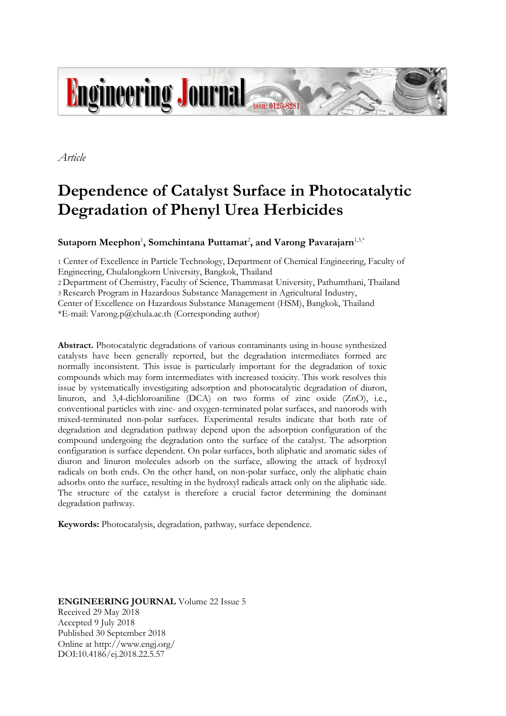

*Article*

# **Dependence of Catalyst Surface in Photocatalytic Degradation of Phenyl Urea Herbicides**

## $\mathbf S$ utaporn Meephon<sup>1</sup>, Somchintana Puttamat<sup>2</sup>, and Varong Pavarajarn<sup>1,3,\*</sup>

1 Center of Excellence in Particle Technology, Department of Chemical Engineering, Faculty of Engineering, Chulalongkorn University, Bangkok, Thailand

2 Department of Chemistry, Faculty of Science, Thammasat University, Pathumthani, Thailand

3 Research Program in Hazardous Substance Management in Agricultural Industry,

Center of Excellence on Hazardous Substance Management (HSM), Bangkok, Thailand

\*E-mail: Varong.p@chula.ac.th (Corresponding author)

**Abstract.** Photocatalytic degradations of various contaminants using in-house synthesized catalysts have been generally reported, but the degradation intermediates formed are normally inconsistent. This issue is particularly important for the degradation of toxic compounds which may form intermediates with increased toxicity. This work resolves this issue by systematically investigating adsorption and photocatalytic degradation of diuron, linuron, and 3,4-dichloroaniline (DCA) on two forms of zinc oxide (ZnO), i.e., conventional particles with zinc- and oxygen-terminated polar surfaces, and nanorods with mixed-terminated non-polar surfaces. Experimental results indicate that both rate of degradation and degradation pathway depend upon the adsorption configuration of the compound undergoing the degradation onto the surface of the catalyst. The adsorption configuration is surface dependent. On polar surfaces, both aliphatic and aromatic sides of diuron and linuron molecules adsorb on the surface, allowing the attack of hydroxyl radicals on both ends. On the other hand, on non-polar surface, only the aliphatic chain adsorbs onto the surface, resulting in the hydroxyl radicals attack only on the aliphatic side. The structure of the catalyst is therefore a crucial factor determining the dominant degradation pathway.

**Keywords:** Photocatalysis, degradation, pathway, surface dependence.

**ENGINEERING JOURNAL** Volume 22 Issue 5 Received 29 May 2018 Accepted 9 July 2018 Published 30 September 2018 Online at http://www.engj.org/ DOI:10.4186/ej.2018.22.5.57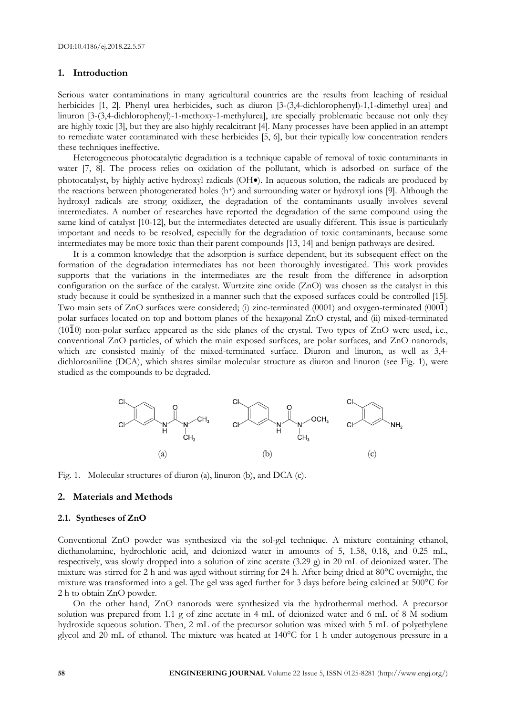## **1. Introduction**

Serious water contaminations in many agricultural countries are the results from leaching of residual herbicides [1, 2]. Phenyl urea herbicides, such as diuron [3-(3,4-dichlorophenyl)-1,1-dimethyl urea] and linuron [3-(3,4-dichlorophenyl)-1-methoxy-1-methylurea], are specially problematic because not only they are highly toxic [3], but they are also highly recalcitrant [4]. Many processes have been applied in an attempt to remediate water contaminated with these herbicides [5, 6], but their typically low concentration renders these techniques ineffective.

Heterogeneous photocatalytic degradation is a technique capable of removal of toxic contaminants in water [7, 8]. The process relies on oxidation of the pollutant, which is adsorbed on surface of the photocatalyst, by highly active hydroxyl radicals (OH $\bullet$ ). In aqueous solution, the radicals are produced by the reactions between photogenerated holes  $(h<sup>+</sup>)$  and surrounding water or hydroxyl ions [9]. Although the hydroxyl radicals are strong oxidizer, the degradation of the contaminants usually involves several intermediates. A number of researches have reported the degradation of the same compound using the same kind of catalyst [10-12], but the intermediates detected are usually different. This issue is particularly important and needs to be resolved, especially for the degradation of toxic contaminants, because some intermediates may be more toxic than their parent compounds [13, 14] and benign pathways are desired.

It is a common knowledge that the adsorption is surface dependent, but its subsequent effect on the formation of the degradation intermediates has not been thoroughly investigated. This work provides supports that the variations in the intermediates are the result from the difference in adsorption configuration on the surface of the catalyst. Wurtzite zinc oxide (ZnO) was chosen as the catalyst in this study because it could be synthesized in a manner such that the exposed surfaces could be controlled [15]. Two main sets of ZnO surfaces were considered; (i) zinc-terminated (0001) and oxygen-terminated (000 $\bar{1}$ ) polar surfaces located on top and bottom planes of the hexagonal ZnO crystal, and (ii) mixed-terminated ( $10\overline{1}0$ ) non-polar surface appeared as the side planes of the crystal. Two types of ZnO were used, i.e., conventional ZnO particles, of which the main exposed surfaces, are polar surfaces, and ZnO nanorods, which are consisted mainly of the mixed-terminated surface. Diuron and linuron, as well as 3,4 dichloroaniline (DCA), which shares similar molecular structure as diuron and linuron (see Fig. 1), were studied as the compounds to be degraded.



Fig. 1. Molecular structures of diuron (a), linuron (b), and DCA (c).

## **2. Materials and Methods**

#### **2.1. Syntheses of ZnO**

Conventional ZnO powder was synthesized via the sol-gel technique. A mixture containing ethanol, diethanolamine, hydrochloric acid, and deionized water in amounts of 5, 1.58, 0.18, and 0.25 mL, respectively, was slowly dropped into a solution of zinc acetate (3.29 g) in 20 mL of deionized water. The mixture was stirred for 2 h and was aged without stirring for 24 h. After being dried at 80°C overnight, the mixture was transformed into a gel. The gel was aged further for 3 days before being calcined at 500°C for 2 h to obtain ZnO powder.

On the other hand, ZnO nanorods were synthesized via the hydrothermal method. A precursor solution was prepared from 1.1 g of zinc acetate in 4 mL of deionized water and 6 mL of 8 M sodium hydroxide aqueous solution. Then, 2 mL of the precursor solution was mixed with 5 mL of polyethylene glycol and 20 mL of ethanol. The mixture was heated at 140°C for 1 h under autogenous pressure in a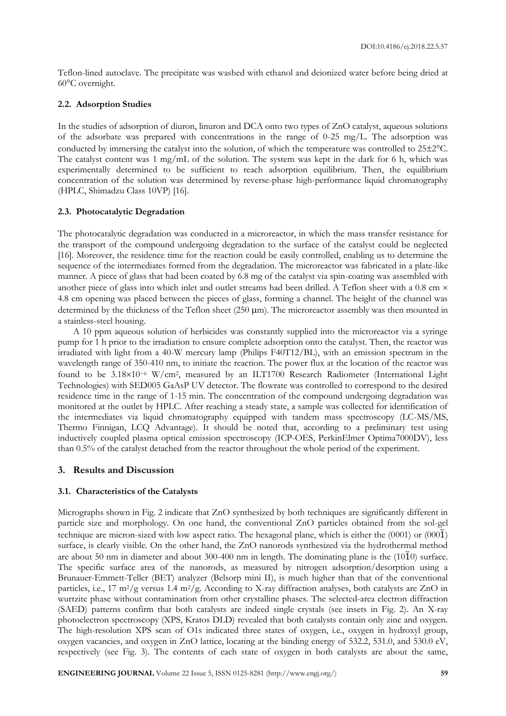Teflon-lined autoclave. The precipitate was washed with ethanol and deionized water before being dried at 60°C overnight.

## **2.2. Adsorption Studies**

In the studies of adsorption of diuron, linuron and DCA onto two types of ZnO catalyst, aqueous solutions of the adsorbate was prepared with concentrations in the range of 0-25 mg/L. The adsorption was conducted by immersing the catalyst into the solution, of which the temperature was controlled to 25±2°C. The catalyst content was 1 mg/mL of the solution. The system was kept in the dark for 6 h, which was experimentally determined to be sufficient to reach adsorption equilibrium. Then, the equilibrium concentration of the solution was determined by reverse-phase high-performance liquid chromatography (HPLC, Shimadzu Class 10VP) [16].

## **2.3. Photocatalytic Degradation**

The photocatalytic degradation was conducted in a microreactor, in which the mass transfer resistance for the transport of the compound undergoing degradation to the surface of the catalyst could be neglected [16]. Moreover, the residence time for the reaction could be easily controlled, enabling us to determine the sequence of the intermediates formed from the degradation. The microreactor was fabricated in a plate-like manner. A piece of glass that had been coated by 6.8 mg of the catalyst via spin-coating was assembled with another piece of glass into which inlet and outlet streams had been drilled. A Teflon sheet with a 0.8 cm  $\times$ 4.8 cm opening was placed between the pieces of glass, forming a channel. The height of the channel was determined by the thickness of the Teflon sheet ( $250 \text{ }\mu\text{m}$ ). The microreactor assembly was then mounted in a stainless-steel housing.

A 10 ppm aqueous solution of herbicides was constantly supplied into the microreactor via a syringe pump for 1 h prior to the irradiation to ensure complete adsorption onto the catalyst. Then, the reactor was irradiated with light from a 40-W mercury lamp (Philips F40T12/BL), with an emission spectrum in the wavelength range of 350-410 nm, to initiate the reaction. The power flux at the location of the reactor was found to be 3.18×10<sup>-6</sup> W/cm<sup>2</sup>, measured by an ILT1700 Research Radiometer (International Light Technologies) with SED005 GaAsP UV detector. The flowrate was controlled to correspond to the desired residence time in the range of 1-15 min. The concentration of the compound undergoing degradation was monitored at the outlet by HPLC. After reaching a steady state, a sample was collected for identification of the intermediates via liquid chromatography equipped with tandem mass spectroscopy (LC-MS/MS, Thermo Finnigan, LCQ Advantage). It should be noted that, according to a preliminary test using inductively coupled plasma optical emission spectroscopy (ICP-OES, PerkinElmer Optima7000DV), less than 0.5% of the catalyst detached from the reactor throughout the whole period of the experiment.

## **3. Results and Discussion**

## **3.1. Characteristics of the Catalysts**

Micrographs shown in Fig. 2 indicate that ZnO synthesized by both techniques are significantly different in particle size and morphology. On one hand, the conventional ZnO particles obtained from the sol-gel technique are micron-sized with low aspect ratio. The hexagonal plane, which is either the  $(0001)$  or  $(000\bar{1})$ surface, is clearly visible. On the other hand, the ZnO nanorods synthesized via the hydrothermal method are about 50 nm in diameter and about 300-400 nm in length. The dominating plane is the  $(10\overline{1}0)$  surface. The specific surface area of the nanorods, as measured by nitrogen adsorption/desorption using a Brunauer-Emmett-Teller (BET) analyzer (Belsorp mini II), is much higher than that of the conventional particles, i.e., 17 m<sup>2</sup>/g versus 1.4 m<sup>2</sup>/g. According to X-ray diffraction analyses, both catalysts are ZnO in wurtzite phase without contamination from other crystalline phases. The selected-area electron diffraction (SAED) patterns confirm that both catalysts are indeed single crystals (see insets in Fig. 2). An X-ray photoelectron spectroscopy (XPS, Kratos DLD) revealed that both catalysts contain only zinc and oxygen. The high-resolution XPS scan of O1s indicated three states of oxygen, i.e., oxygen in hydroxyl group, oxygen vacancies, and oxygen in ZnO lattice, locating at the binding energy of 532.2, 531.0, and 530.0 eV, respectively (see Fig. 3). The contents of each state of oxygen in both catalysts are about the same,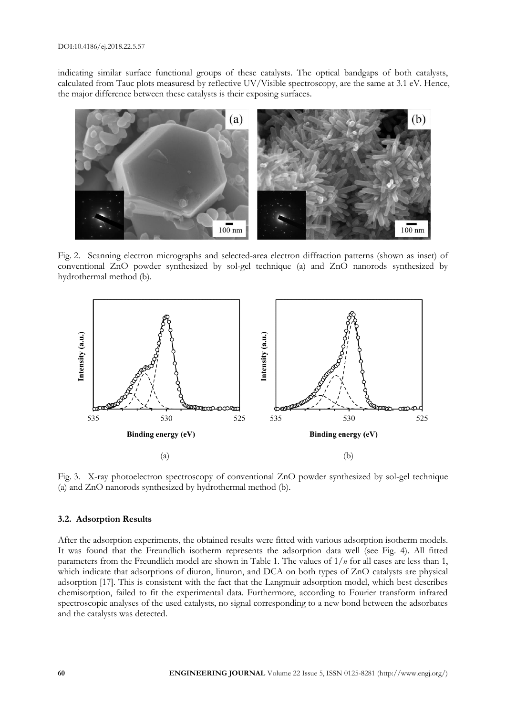indicating similar surface functional groups of these catalysts. The optical bandgaps of both catalysts, calculated from Tauc plots measuresd by reflective UV/Visible spectroscopy, are the same at 3.1 eV. Hence, the major difference between these catalysts is their exposing surfaces.



Fig. 2. Scanning electron micrographs and selected-area electron diffraction patterns (shown as inset) of conventional ZnO powder synthesized by sol-gel technique (a) and ZnO nanorods synthesized by hydrothermal method (b).



Fig. 3. X-ray photoelectron spectroscopy of conventional ZnO powder synthesized by sol-gel technique (a) and ZnO nanorods synthesized by hydrothermal method (b).

## **3.2. Adsorption Results**

After the adsorption experiments, the obtained results were fitted with various adsorption isotherm models. It was found that the Freundlich isotherm represents the adsorption data well (see Fig. 4). All fitted parameters from the Freundlich model are shown in Table 1. The values of 1/*n* for all cases are less than 1, which indicate that adsorptions of diuron, linuron, and DCA on both types of ZnO catalysts are physical adsorption [17]. This is consistent with the fact that the Langmuir adsorption model, which best describes chemisorption, failed to fit the experimental data. Furthermore, according to Fourier transform infrared spectroscopic analyses of the used catalysts, no signal corresponding to a new bond between the adsorbates and the catalysts was detected.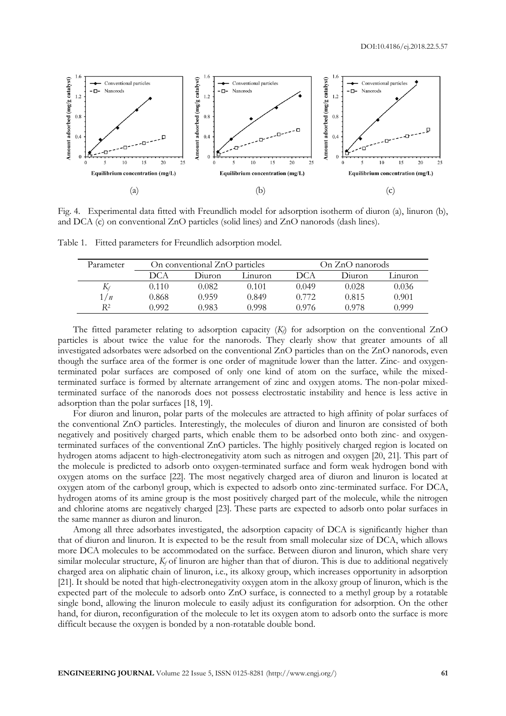

Fig. 4. Experimental data fitted with Freundlich model for adsorption isotherm of diuron (a), linuron (b), and DCA (c) on conventional ZnO particles (solid lines) and ZnO nanorods (dash lines).

Table 1. Fitted parameters for Freundlich adsorption model.

| Parameter    | On conventional ZnO particles |        |         | On ZnO nanorods |        |          |
|--------------|-------------------------------|--------|---------|-----------------|--------|----------|
|              | DCA                           | Diuron | Linuron | DCA             | Diuron | Linuron. |
| $\mathbf{N}$ | 0.110                         | 0.082  | 0.101   | 0.049           | 0.028  | 0.036    |
| 1/n          | 0.868                         | 0.959  | 0.849   | 0.772           | 0.815  | 0.901    |
| R2           | O 992                         | 0.983  | 0.998   | 0.976           | 0.978  | N 999    |

The fitted parameter relating to adsorption capacity  $(K<sub>f</sub>)$  for adsorption on the conventional ZnO particles is about twice the value for the nanorods. They clearly show that greater amounts of all investigated adsorbates were adsorbed on the conventional ZnO particles than on the ZnO nanorods, even though the surface area of the former is one order of magnitude lower than the latter. Zinc- and oxygenterminated polar surfaces are composed of only one kind of atom on the surface, while the mixedterminated surface is formed by alternate arrangement of zinc and oxygen atoms. The non-polar mixedterminated surface of the nanorods does not possess electrostatic instability and hence is less active in adsorption than the polar surfaces [18, 19].

For diuron and linuron, polar parts of the molecules are attracted to high affinity of polar surfaces of the conventional ZnO particles. Interestingly, the molecules of diuron and linuron are consisted of both negatively and positively charged parts, which enable them to be adsorbed onto both zinc- and oxygenterminated surfaces of the conventional ZnO particles. The highly positively charged region is located on hydrogen atoms adjacent to high-electronegativity atom such as nitrogen and oxygen [20, 21]. This part of the molecule is predicted to adsorb onto oxygen-terminated surface and form weak hydrogen bond with oxygen atoms on the surface [22]. The most negatively charged area of diuron and linuron is located at oxygen atom of the carbonyl group, which is expected to adsorb onto zinc-terminated surface. For DCA, hydrogen atoms of its amine group is the most positively charged part of the molecule, while the nitrogen and chlorine atoms are negatively charged [23]. These parts are expected to adsorb onto polar surfaces in the same manner as diuron and linuron.

Among all three adsorbates investigated, the adsorption capacity of DCA is significantly higher than that of diuron and linuron. It is expected to be the result from small molecular size of DCA, which allows more DCA molecules to be accommodated on the surface. Between diuron and linuron, which share very similar molecular structure, *K<sup>f</sup>* of linuron are higher than that of diuron. This is due to additional negatively charged area on aliphatic chain of linuron, i.e., its alkoxy group, which increases opportunity in adsorption [21]. It should be noted that high-electronegativity oxygen atom in the alkoxy group of linuron, which is the expected part of the molecule to adsorb onto ZnO surface, is connected to a methyl group by a rotatable single bond, allowing the linuron molecule to easily adjust its configuration for adsorption. On the other hand, for diuron, reconfiguration of the molecule to let its oxygen atom to adsorb onto the surface is more difficult because the oxygen is bonded by a non-rotatable double bond.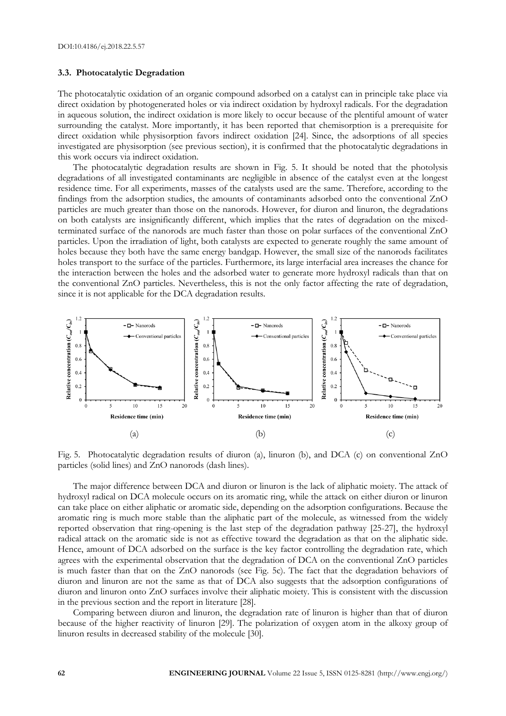#### **3.3. Photocatalytic Degradation**

The photocatalytic oxidation of an organic compound adsorbed on a catalyst can in principle take place via direct oxidation by photogenerated holes or via indirect oxidation by hydroxyl radicals. For the degradation in aqueous solution, the indirect oxidation is more likely to occur because of the plentiful amount of water surrounding the catalyst. More importantly, it has been reported that chemisorption is a prerequisite for direct oxidation while physisorption favors indirect oxidation [24]. Since, the adsorptions of all species investigated are physisorption (see previous section), it is confirmed that the photocatalytic degradations in this work occurs via indirect oxidation.

The photocatalytic degradation results are shown in Fig. 5. It should be noted that the photolysis degradations of all investigated contaminants are negligible in absence of the catalyst even at the longest residence time. For all experiments, masses of the catalysts used are the same. Therefore, according to the findings from the adsorption studies, the amounts of contaminants adsorbed onto the conventional ZnO particles are much greater than those on the nanorods. However, for diuron and linuron, the degradations on both catalysts are insignificantly different, which implies that the rates of degradation on the mixedterminated surface of the nanorods are much faster than those on polar surfaces of the conventional ZnO particles. Upon the irradiation of light, both catalysts are expected to generate roughly the same amount of holes because they both have the same energy bandgap. However, the small size of the nanorods facilitates holes transport to the surface of the particles. Furthermore, its large interfacial area increases the chance for the interaction between the holes and the adsorbed water to generate more hydroxyl radicals than that on the conventional ZnO particles. Nevertheless, this is not the only factor affecting the rate of degradation, since it is not applicable for the DCA degradation results.



Fig. 5. Photocatalytic degradation results of diuron (a), linuron (b), and DCA (c) on conventional ZnO particles (solid lines) and ZnO nanorods (dash lines).

The major difference between DCA and diuron or linuron is the lack of aliphatic moiety. The attack of hydroxyl radical on DCA molecule occurs on its aromatic ring, while the attack on either diuron or linuron can take place on either aliphatic or aromatic side, depending on the adsorption configurations. Because the aromatic ring is much more stable than the aliphatic part of the molecule, as witnessed from the widely reported observation that ring-opening is the last step of the degradation pathway [25-27], the hydroxyl radical attack on the aromatic side is not as effective toward the degradation as that on the aliphatic side. Hence, amount of DCA adsorbed on the surface is the key factor controlling the degradation rate, which agrees with the experimental observation that the degradation of DCA on the conventional ZnO particles is much faster than that on the ZnO nanorods (see Fig. 5c). The fact that the degradation behaviors of diuron and linuron are not the same as that of DCA also suggests that the adsorption configurations of diuron and linuron onto ZnO surfaces involve their aliphatic moiety. This is consistent with the discussion in the previous section and the report in literature [28].

Comparing between diuron and linuron, the degradation rate of linuron is higher than that of diuron because of the higher reactivity of linuron [29]. The polarization of oxygen atom in the alkoxy group of linuron results in decreased stability of the molecule [30].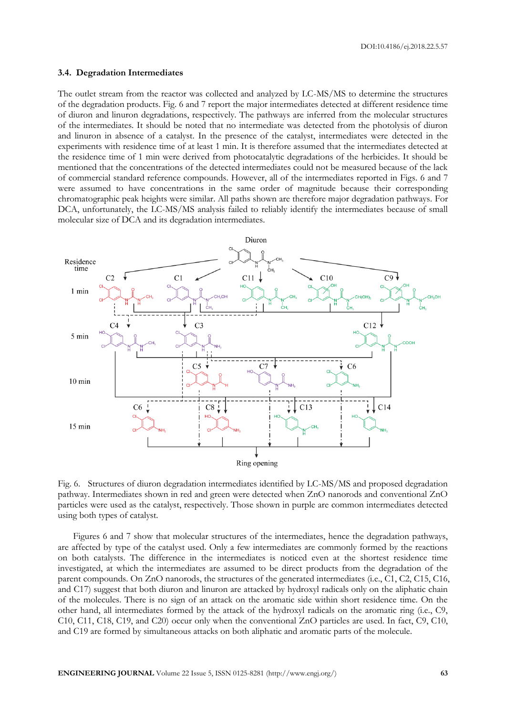DOI:10.4186/ej.2018.22.5.57

#### **3.4. Degradation Intermediates**

The outlet stream from the reactor was collected and analyzed by LC-MS/MS to determine the structures of the degradation products. Fig. 6 and 7 report the major intermediates detected at different residence time of diuron and linuron degradations, respectively. The pathways are inferred from the molecular structures of the intermediates. It should be noted that no intermediate was detected from the photolysis of diuron and linuron in absence of a catalyst. In the presence of the catalyst, intermediates were detected in the experiments with residence time of at least 1 min. It is therefore assumed that the intermediates detected at the residence time of 1 min were derived from photocatalytic degradations of the herbicides. It should be mentioned that the concentrations of the detected intermediates could not be measured because of the lack of commercial standard reference compounds. However, all of the intermediates reported in Figs. 6 and 7 were assumed to have concentrations in the same order of magnitude because their corresponding chromatographic peak heights were similar. All paths shown are therefore major degradation pathways. For DCA, unfortunately, the LC-MS/MS analysis failed to reliably identify the intermediates because of small molecular size of DCA and its degradation intermediates.



Fig. 6. Structures of diuron degradation intermediates identified by LC-MS/MS and proposed degradation pathway. Intermediates shown in red and green were detected when ZnO nanorods and conventional ZnO particles were used as the catalyst, respectively. Those shown in purple are common intermediates detected using both types of catalyst.

Figures 6 and 7 show that molecular structures of the intermediates, hence the degradation pathways, are affected by type of the catalyst used. Only a few intermediates are commonly formed by the reactions on both catalysts. The difference in the intermediates is noticed even at the shortest residence time investigated, at which the intermediates are assumed to be direct products from the degradation of the parent compounds. On ZnO nanorods, the structures of the generated intermediates (i.e., C1, C2, C15, C16, and C17) suggest that both diuron and linuron are attacked by hydroxyl radicals only on the aliphatic chain of the molecules. There is no sign of an attack on the aromatic side within short residence time. On the other hand, all intermediates formed by the attack of the hydroxyl radicals on the aromatic ring (i.e., C9, C10, C11, C18, C19, and C20) occur only when the conventional ZnO particles are used. In fact, C9, C10, and C19 are formed by simultaneous attacks on both aliphatic and aromatic parts of the molecule.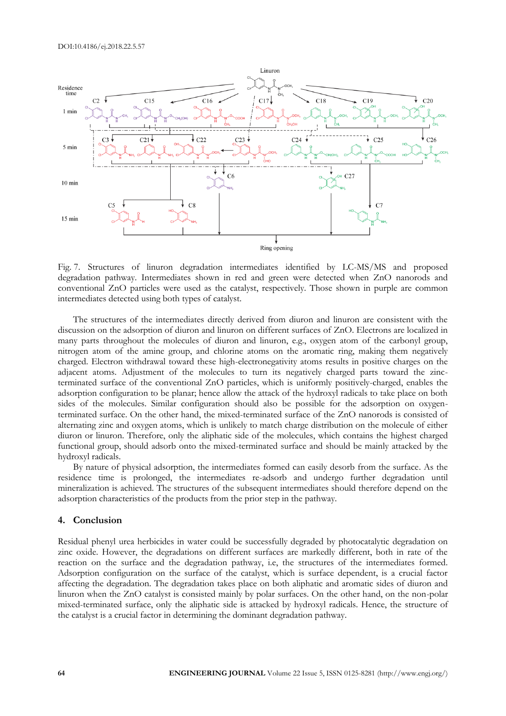

Fig. 7. Structures of linuron degradation intermediates identified by LC-MS/MS and proposed degradation pathway. Intermediates shown in red and green were detected when ZnO nanorods and conventional ZnO particles were used as the catalyst, respectively. Those shown in purple are common intermediates detected using both types of catalyst.

The structures of the intermediates directly derived from diuron and linuron are consistent with the discussion on the adsorption of diuron and linuron on different surfaces of ZnO. Electrons are localized in many parts throughout the molecules of diuron and linuron, e.g., oxygen atom of the carbonyl group, nitrogen atom of the amine group, and chlorine atoms on the aromatic ring, making them negatively charged. Electron withdrawal toward these high-electronegativity atoms results in positive charges on the adjacent atoms. Adjustment of the molecules to turn its negatively charged parts toward the zincterminated surface of the conventional ZnO particles, which is uniformly positively-charged, enables the adsorption configuration to be planar; hence allow the attack of the hydroxyl radicals to take place on both sides of the molecules. Similar configuration should also be possible for the adsorption on oxygenterminated surface. On the other hand, the mixed-terminated surface of the ZnO nanorods is consisted of alternating zinc and oxygen atoms, which is unlikely to match charge distribution on the molecule of either diuron or linuron. Therefore, only the aliphatic side of the molecules, which contains the highest charged functional group, should adsorb onto the mixed-terminated surface and should be mainly attacked by the hydroxyl radicals.

By nature of physical adsorption, the intermediates formed can easily desorb from the surface. As the residence time is prolonged, the intermediates re-adsorb and undergo further degradation until mineralization is achieved. The structures of the subsequent intermediates should therefore depend on the adsorption characteristics of the products from the prior step in the pathway.

## **4. Conclusion**

Residual phenyl urea herbicides in water could be successfully degraded by photocatalytic degradation on zinc oxide. However, the degradations on different surfaces are markedly different, both in rate of the reaction on the surface and the degradation pathway, i.e, the structures of the intermediates formed. Adsorption configuration on the surface of the catalyst, which is surface dependent, is a crucial factor affecting the degradation. The degradation takes place on both aliphatic and aromatic sides of diuron and linuron when the ZnO catalyst is consisted mainly by polar surfaces. On the other hand, on the non-polar mixed-terminated surface, only the aliphatic side is attacked by hydroxyl radicals. Hence, the structure of the catalyst is a crucial factor in determining the dominant degradation pathway.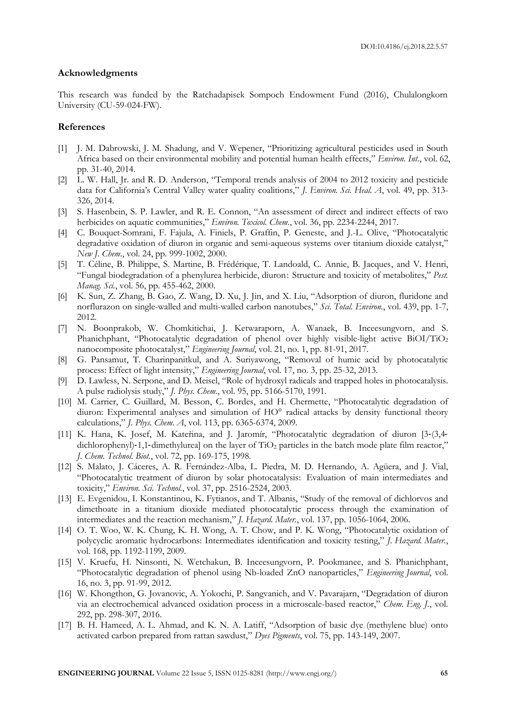#### **Acknowledgments**

This research was funded by the Ratchadapisek Sompoch Endowment Fund (2016), Chulalongkorn University (CU-59-024-FW).

## **References**

- [1] J. M. Dabrowski, J. M. Shadung, and V. Wepener, "Prioritizing agricultural pesticides used in South Africa based on their environmental mobility and potential human health effects," *Environ. Int.*, vol. 62, pp. 31-40, 2014.
- [2] L. W. Hall, Jr. and R. D. Anderson, "Temporal trends analysis of 2004 to 2012 toxicity and pesticide data for California's Central Valley water quality coalitions," *J. Environ. Sci. Heal. A*, vol. 49, pp. 313- 326, 2014.
- [3] S. Hasenbein, S. P. Lawler, and R. E. Connon, "An assessment of direct and indirect effects of two herbicides on aquatic communities," *Environ. Toxicol. Chem.*, vol. 36, pp. 2234-2244, 2017.
- [4] C. Bouquet-Somrani, F. Fajula, A. Finiels, P. Graffin, P. Geneste, and J.-L. Olive, "Photocatalytic degradative oxidation of diuron in organic and semi-aqueous systems over titanium dioxide catalyst," *New J. Chem.*, vol. 24, pp. 999-1002, 2000.
- [5] T. Céline, B. Philippe, S. Martine, B. Frédérique, T. Landoald, C. Annie, B. Jacques, and V. Henri, "Fungal biodegradation of a phenylurea herbicide, diuron: Structure and toxicity of metabolites," *Pest. Manag. Sci.*, vol. 56, pp. 455-462, 2000.
- [6] K. Sun, Z. Zhang, B. Gao, Z. Wang, D. Xu, J. Jin, and X. Liu, "Adsorption of diuron, fluridone and norflurazon on single-walled and multi-walled carbon nanotubes," *Sci. Total. Environ.*, vol. 439, pp. 1-7, 2012.
- [7] N. Boonprakob, W. Chomkitichai, J. Ketwaraporn, A. Wanaek, B. Inceesungvorn, and S. Phanichphant, "Photocatalytic degradation of phenol over highly visible-light active BiOI/TiO<sup>2</sup> nanocomposite photocatalyst," *Engineering Journal*, vol. 21, no. 1, pp. 81-91, 2017.
- [8] G. Pansamut, T. Charinpanitkul, and A. Suriyawong, "Removal of humic acid by photocatalytic process: Effect of light intensity," *Engineering Journal*, vol. 17, no. 3, pp. 25-32, 2013.
- [9] D. Lawless, N. Serpone, and D. Meisel, "Role of hydroxyl radicals and trapped holes in photocatalysis. A pulse radiolysis study," *J. Phys. Chem.*, vol. 95, pp. 5166-5170, 1991.
- [10] M. Carrier, C. Guillard, M. Besson, C. Bordes, and H. Chermette, "Photocatalytic degradation of diuron: Experimental analyses and simulation of HO° radical attacks by density functional theory calculations," *J. Phys. Chem. A*, vol. 113, pp. 6365-6374, 2009.
- [11] K. Hana, K. Josef, M. Kateřina, and J. Jaromír, "Photocatalytic degradation of diuron [3‐(3,4‐ dichlorophenyl)-1,1-dimethylurea] on the layer of TiO<sub>2</sub> particles in the batch mode plate film reactor," *J. Chem. Technol. Biot.*, vol. 72, pp. 169-175, 1998.
- [12] S. Malato, J. Cáceres, A. R. Fernández-Alba, L. Piedra, M. D. Hernando, A. Agüera, and J. Vial, "Photocatalytic treatment of diuron by solar photocatalysis: Evaluation of main intermediates and toxicity," *Environ. Sci. Technol.*, vol. 37, pp. 2516-2524, 2003.
- [13] E. Evgenidou, I. Konstantinou, K. Fytianos, and T. Albanis, "Study of the removal of dichlorvos and dimethoate in a titanium dioxide mediated photocatalytic process through the examination of intermediates and the reaction mechanism," *J. Hazard. Mater.*, vol. 137, pp. 1056-1064, 2006.
- [14] O. T. Woo, W. K. Chung, K. H. Wong, A. T. Chow, and P. K. Wong, "Photocatalytic oxidation of polycyclic aromatic hydrocarbons: Intermediates identification and toxicity testing," *J. Hazard. Mater.*, vol. 168, pp. 1192-1199, 2009.
- [15] V. Kruefu, H. Ninsonti, N. Wetchakun, B. Inceesungvorn, P. Pookmanee, and S. Phanichphant, "Photocatalytic degradation of phenol using Nb-loaded ZnO nanoparticles," *Engineering Journal*, vol. 16, no. 3, pp. 91-99, 2012.
- [16] W. Khongthon, G. Jovanovic, A. Yokochi, P. Sangvanich, and V. Pavarajarn, "Degradation of diuron via an electrochemical advanced oxidation process in a microscale-based reactor," *Chem. Eng. J.*, vol. 292, pp. 298-307, 2016.
- [17] B. H. Hameed, A. L. Ahmad, and K. N. A. Latiff, "Adsorption of basic dye (methylene blue) onto activated carbon prepared from rattan sawdust," *Dyes Pigments*, vol. 75, pp. 143-149, 2007.